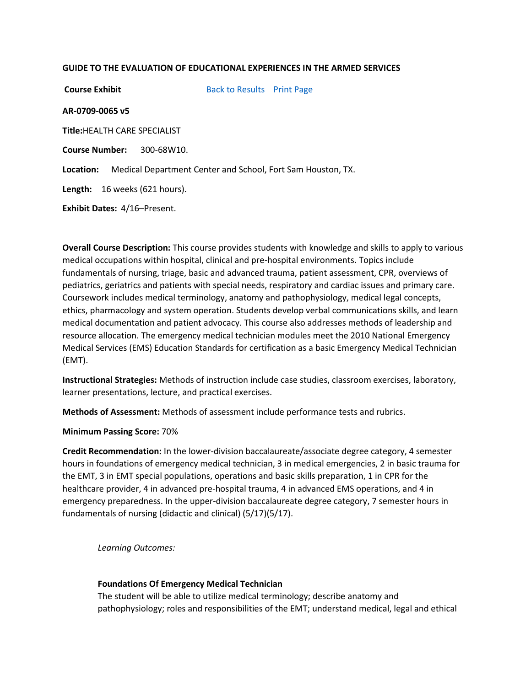### **GUIDE TO THE EVALUATION OF EDUCATIONAL EXPERIENCES IN THE ARMED SERVICES**

**Course Exhibit** [Back to Results](javascript:history.go(-1);) [Print Page](javascript:window.print()) **AR-0709-0065 v5 Title:**HEALTH CARE SPECIALIST **Course Number:** 300-68W10. **Location:** Medical Department Center and School, Fort Sam Houston, TX. **Length:** 16 weeks (621 hours). **Exhibit Dates:** 4/16–Present.

**Overall Course Description:** This course provides students with knowledge and skills to apply to various medical occupations within hospital, clinical and pre-hospital environments. Topics include fundamentals of nursing, triage, basic and advanced trauma, patient assessment, CPR, overviews of pediatrics, geriatrics and patients with special needs, respiratory and cardiac issues and primary care. Coursework includes medical terminology, anatomy and pathophysiology, medical legal concepts, ethics, pharmacology and system operation. Students develop verbal communications skills, and learn medical documentation and patient advocacy. This course also addresses methods of leadership and resource allocation. The emergency medical technician modules meet the 2010 National Emergency Medical Services (EMS) Education Standards for certification as a basic Emergency Medical Technician (EMT).

**Instructional Strategies:** Methods of instruction include case studies, classroom exercises, laboratory, learner presentations, lecture, and practical exercises.

**Methods of Assessment:** Methods of assessment include performance tests and rubrics.

**Minimum Passing Score:** 70%

**Credit Recommendation:** In the lower-division baccalaureate/associate degree category, 4 semester hours in foundations of emergency medical technician, 3 in medical emergencies, 2 in basic trauma for the EMT, 3 in EMT special populations, operations and basic skills preparation, 1 in CPR for the healthcare provider, 4 in advanced pre-hospital trauma, 4 in advanced EMS operations, and 4 in emergency preparedness. In the upper-division baccalaureate degree category, 7 semester hours in fundamentals of nursing (didactic and clinical) (5/17)(5/17).

*Learning Outcomes:*

### **Foundations Of Emergency Medical Technician**

The student will be able to utilize medical terminology; describe anatomy and pathophysiology; roles and responsibilities of the EMT; understand medical, legal and ethical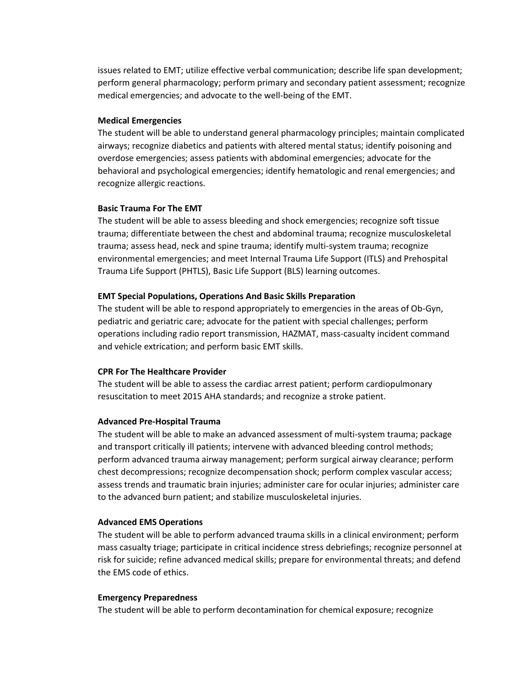issues related to EMT; utilize effective verbal communication; describe life span development; perform general pharmacology; perform primary and secondary patient assessment; recognize medical emergencies; and advocate to the well-being of the EMT.

### **Medical Emergencies**

The student will be able to understand general pharmacology principles; maintain complicated airways; recognize diabetics and patients with altered mental status; identify poisoning and overdose emergencies; assess patients with abdominal emergencies; advocate for the behavioral and psychological emergencies; identify hematologic and renal emergencies; and recognize allergic reactions.

# **Basic Trauma For The EMT**

The student will be able to assess bleeding and shock emergencies; recognize soft tissue trauma; differentiate between the chest and abdominal trauma; recognize musculoskeletal trauma; assess head, neck and spine trauma; identify multi-system trauma; recognize environmental emergencies; and meet Internal Trauma Life Support (ITLS) and Prehospital Trauma Life Support (PHTLS), Basic Life Support (BLS) learning outcomes.

# **EMT Special Populations, Operations And Basic Skills Preparation**

The student will be able to respond appropriately to emergencies in the areas of Ob-Gyn, pediatric and geriatric care; advocate for the patient with special challenges; perform operations including radio report transmission, HAZMAT, mass-casualty incident command and vehicle extrication; and perform basic EMT skills.

# **CPR For The Healthcare Provider**

The student will be able to assess the cardiac arrest patient; perform cardiopulmonary resuscitation to meet 2015 AHA standards; and recognize a stroke patient.

# **Advanced Pre-Hospital Trauma**

The student will be able to make an advanced assessment of multi-system trauma; package and transport critically ill patients; intervene with advanced bleeding control methods; perform advanced trauma airway management; perform surgical airway clearance; perform chest decompressions; recognize decompensation shock; perform complex vascular access; assess trends and traumatic brain injuries; administer care for ocular injuries; administer care to the advanced burn patient; and stabilize musculoskeletal injuries.

### **Advanced EMS Operations**

The student will be able to perform advanced trauma skills in a clinical environment; perform mass casualty triage; participate in critical incidence stress debriefings; recognize personnel at risk for suicide; refine advanced medical skills; prepare for environmental threats; and defend the EMS code of ethics.

### **Emergency Preparedness**

The student will be able to perform decontamination for chemical exposure; recognize